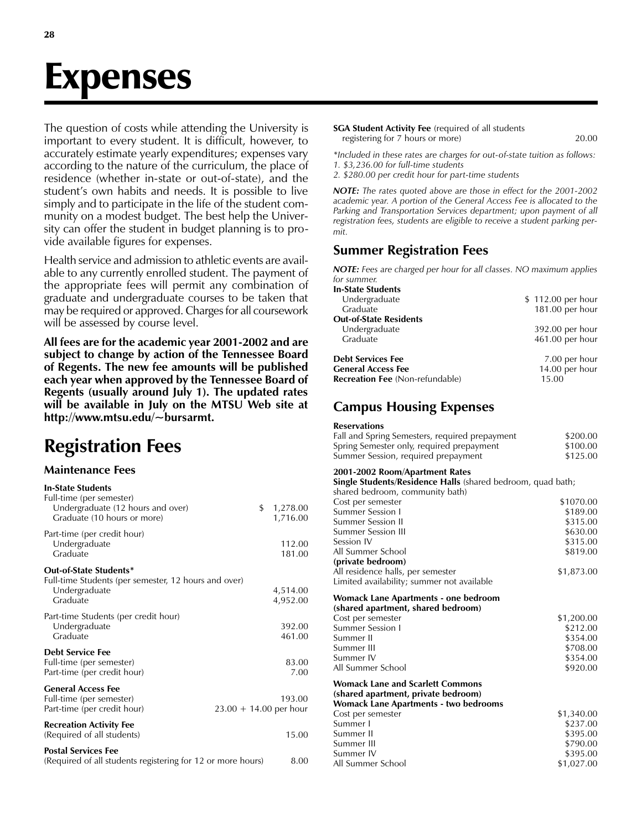# Expenses

The question of costs while attending the University is important to every student. It is difficult, however, to accurately estimate yearly expenditures; expenses vary according to the nature of the curriculum, the place of residence (whether in-state or out-of-state), and the student's own habits and needs. It is possible to live simply and to participate in the life of the student community on a modest budget. The best help the University can offer the student in budget planning is to provide available figures for expenses.

Health service and admission to athletic events are available to any currently enrolled student. The payment of the appropriate fees will permit any combination of graduate and undergraduate courses to be taken that may be required or approved. Charges for all coursework will be assessed by course level.

All fees are for the academic year 2001-2002 and are subject to change by action of the Tennessee Board of Regents. The new fee amounts will be published each year when approved by the Tennessee Board of Regents (usually around July 1). The updated rates will be available in July on the MTSU Web site at http://www.mtsu.edu/~bursarmt.

# Registration Fees

## Maintenance Fees

| <b>In-State Students</b><br>Full-time (per semester)<br>Undergraduate (12 hours and over)<br>Graduate (10 hours or more) | \$<br>1,278.00<br>1,716.00         |
|--------------------------------------------------------------------------------------------------------------------------|------------------------------------|
| Part-time (per credit hour)<br>Undergraduate<br>Graduate                                                                 | 112.00<br>181.00                   |
| Out-of-State Students*<br>Full-time Students (per semester, 12 hours and over)<br>Undergraduate<br>Graduate              | 4,514.00<br>4,952.00               |
| Part-time Students (per credit hour)<br>Undergraduate<br>Graduate                                                        | 392.00<br>461.00                   |
| <b>Debt Service Fee</b><br>Full-time (per semester)<br>Part-time (per credit hour)                                       | 83.00<br>7.00                      |
| <b>General Access Fee</b><br>Full-time (per semester)<br>Part-time (per credit hour)                                     | 193.00<br>$23.00 + 14.00$ per hour |
| <b>Recreation Activity Fee</b><br>(Required of all students)                                                             | 15.00                              |
| <b>Postal Services Fee</b><br>(Required of all students registering for 12 or more hours)                                | 8.00                               |

SGA Student Activity Fee (required of all students registering for 7 hours or more) 20.00

\*Included in these rates are charges for out-of-state tuition as follows: 1. \$3,236.00 for full-time students

2. \$280.00 per credit hour for part-time students

NOTE: The rates quoted above are those in effect for the 2001-2002 academic year. A portion of the General Access Fee is allocated to the Parking and Transportation Services department; upon payment of all registration fees, students are eligible to receive a student parking permit.

# Summer Registration Fees

NOTE: Fees are charged per hour for all classes. NO maximum applies for summer.

| <b>In-State Students</b>               |                   |
|----------------------------------------|-------------------|
| Undergraduate                          | \$112.00 per hour |
| Graduate                               | 181.00 per hour   |
| <b>Out-of-State Residents</b>          |                   |
| Undergraduate                          | 392.00 per hour   |
| Graduate                               | 461.00 per hour   |
| <b>Debt Services Fee</b>               | 7.00 per hour     |
| <b>General Access Fee</b>              | 14.00 per hour    |
| <b>Recreation Fee (Non-refundable)</b> | 15.00             |

# Campus Housing Expenses

#### Reservations

| Fall and Spring Semesters, required prepayment | \$200.00 |
|------------------------------------------------|----------|
| Spring Semester only, required prepayment      | \$100.00 |
| Summer Session, required prepayment            | \$125.00 |

#### 2001-2002 Room/Apartment Rates

Single Students/Residence Halls (shared bedroom, quad bath;

| shared bedroom, community bath)            |            |
|--------------------------------------------|------------|
| Cost per semester                          | \$1070.00  |
| Summer Session I                           | \$189.00   |
| <b>Summer Session II</b>                   | \$315.00   |
| <b>Summer Session III</b>                  | \$630.00   |
| Session IV                                 | \$315.00   |
| All Summer School                          | \$819.00   |
| (private bedroom)                          |            |
| All residence halls, per semester          | \$1,873.00 |
| Limited availability; summer not available |            |
| Womack Lane Apartments - one bedroom       |            |
| (shared apartment, shared bedroom)         |            |
| Cost per semester                          | \$1,200.00 |
| <b>Summer Session I</b>                    | \$212.00   |
| Summer II                                  | \$354.00   |
| Summer III                                 | \$708.00   |
| Summer IV                                  | \$354.00   |
| All Summer School                          | \$920.00   |
| <b>Womack Lane and Scarlett Commons</b>    |            |
| (shared apartment, private bedroom)        |            |
| Womack Lane Apartments - two bedrooms      |            |
| Cost per semester                          | \$1,340.00 |
| Summer I                                   | \$237.00   |
| Summer II                                  | \$395.00   |
| Summer III                                 | \$790.00   |
| Summer IV                                  | \$395.00   |
| All Summer School                          | \$1.027.00 |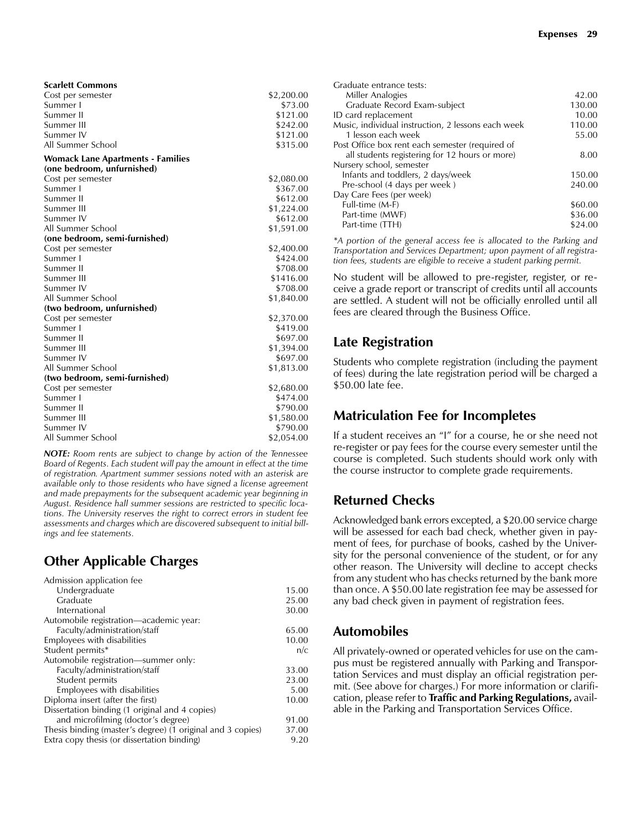| <b>Scarlett Commons</b> |            |
|-------------------------|------------|
| Cost per semester       | \$2,200.00 |
| Summer I                | \$73.00    |
| Summer II               | \$121.00   |
| Summer III              | \$242.00   |
| Summer IV               | \$121.00   |
| All Summer School       | \$315.00   |

### Womack Lane Apartments - Families

| (one bedroom, unfurnished)    |            |
|-------------------------------|------------|
| Cost per semester             | \$2,080.00 |
| Summer I                      | \$367.00   |
| Summer II                     | \$612.00   |
| Summer III                    | \$1,224.00 |
| Summer IV                     | \$612.00   |
| All Summer School             | \$1,591.00 |
| (one bedroom, semi-furnished) |            |
| Cost per semester             | \$2,400.00 |
| Summer I                      | \$424.00   |
| Summer II                     | \$708.00   |
| Summer III                    | \$1416.00  |
| Summer IV                     | \$708.00   |
| All Summer School             | \$1,840.00 |
| (two bedroom, unfurnished)    |            |
| Cost per semester             | \$2,370.00 |
| Summer I                      | \$419.00   |
| Summer II                     | \$697.00   |
| Summer III                    | \$1,394.00 |
| Summer IV                     | \$697.00   |
| All Summer School             | \$1,813.00 |
| (two bedroom, semi-furnished) |            |
| Cost per semester             | \$2,680.00 |
| Summer I                      | \$474.00   |
| Summer II                     | \$790.00   |
| Summer III                    | \$1,580.00 |
| Summer IV                     | \$790.00   |
| All Summer School             | \$2,054.00 |

NOTE: Room rents are subject to change by action of the Tennessee Board of Regents. Each student will pay the amount in effect at the time of registration. Apartment summer sessions noted with an asterisk are available only to those residents who have signed a license agreement and made prepayments for the subsequent academic year beginning in August. Residence hall summer sessions are restricted to specific locations. The University reserves the right to correct errors in student fee assessments and charges which are discovered subsequent to initial billings and fee statements.

# Other Applicable Charges

| Admission application fee                                  |       |
|------------------------------------------------------------|-------|
| Undergraduate                                              | 15.00 |
| Graduate                                                   | 25.00 |
| International                                              | 30.00 |
| Automobile registration—academic year:                     |       |
| Faculty/administration/staff                               | 65.00 |
| Employees with disabilities                                | 10.00 |
| Student permits*                                           | n/c   |
| Automobile registration—summer only:                       |       |
| Faculty/administration/staff                               | 33.00 |
| Student permits                                            | 23.00 |
| Employees with disabilities                                | 5.00  |
| Diploma insert (after the first)                           | 10.00 |
| Dissertation binding (1 original and 4 copies)             |       |
| and microfilming (doctor's degree)                         | 91.00 |
| Thesis binding (master's degree) (1 original and 3 copies) | 37.00 |
| Extra copy thesis (or dissertation binding)                | 9.20  |

| Graduate entrance tests:                           |         |
|----------------------------------------------------|---------|
| Miller Analogies                                   | 42.00   |
| Graduate Record Exam-subject                       | 130.00  |
| ID card replacement                                | 10.00   |
| Music, individual instruction, 2 lessons each week | 110.00  |
| 1 lesson each week                                 | 55.00   |
| Post Office box rent each semester (required of    |         |
| all students registering for 12 hours or more)     | 8.00    |
| Nursery school, semester                           |         |
| Infants and toddlers, 2 days/week                  | 150.00  |
| Pre-school (4 days per week)                       | 240.00  |
| Day Care Fees (per week)                           |         |
| Full-time (M-F)                                    | \$60.00 |
| Part-time (MWF)                                    | \$36.00 |
| Part-time (TTH)                                    | \$24.00 |
|                                                    |         |

\*A portion of the general access fee is allocated to the Parking and Transportation and Services Department; upon payment of all registration fees, students are eligible to receive a student parking permit.

No student will be allowed to pre-register, register, or receive a grade report or transcript of credits until all accounts are settled. A student will not be officially enrolled until all fees are cleared through the Business Office.

## Late Registration

Students who complete registration (including the payment of fees) during the late registration period will be charged a \$50.00 late fee.

## Matriculation Fee for Incompletes

If a student receives an "I" for a course, he or she need not re-register or pay fees for the course every semester until the course is completed. Such students should work only with the course instructor to complete grade requirements.

## Returned Checks

Acknowledged bank errors excepted, a \$20.00 service charge will be assessed for each bad check, whether given in payment of fees, for purchase of books, cashed by the University for the personal convenience of the student, or for any other reason. The University will decline to accept checks from any student who has checks returned by the bank more than once. A \$50.00 late registration fee may be assessed for any bad check given in payment of registration fees.

## Automobiles

All privately-owned or operated vehicles for use on the campus must be registered annually with Parking and Transportation Services and must display an official registration permit. (See above for charges.) For more information or clarification, please refer to Traffic and Parking Regulations, available in the Parking and Transportation Services Office.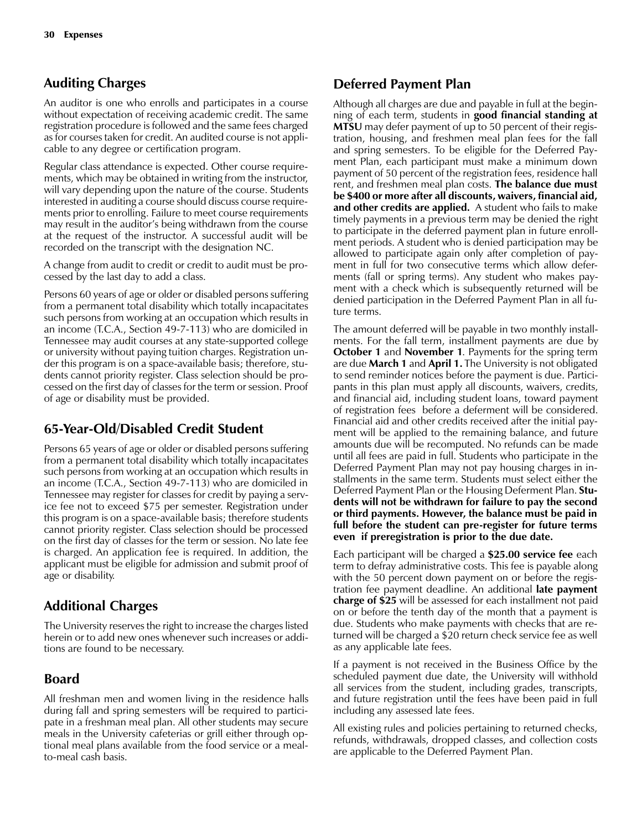# Auditing Charges

An auditor is one who enrolls and participates in a course without expectation of receiving academic credit. The same registration procedure is followed and the same fees charged as for courses taken for credit. An audited course is not applicable to any degree or certification program.

Regular class attendance is expected. Other course requirements, which may be obtained in writing from the instructor, will vary depending upon the nature of the course. Students interested in auditing a course should discuss course requirements prior to enrolling. Failure to meet course requirements may result in the auditor's being withdrawn from the course at the request of the instructor. A successful audit will be recorded on the transcript with the designation NC.

A change from audit to credit or credit to audit must be processed by the last day to add a class.

Persons 60 years of age or older or disabled persons suffering from a permanent total disability which totally incapacitates such persons from working at an occupation which results in an income (T.C.A., Section 49-7-113) who are domiciled in Tennessee may audit courses at any state-supported college or university without paying tuition charges. Registration under this program is on a space-available basis; therefore, students cannot priority register. Class selection should be processed on the first day of classes for the term or session. Proof of age or disability must be provided.

# 65-Year-Old/Disabled Credit Student

Persons 65 years of age or older or disabled persons suffering from a permanent total disability which totally incapacitates such persons from working at an occupation which results in an income (T.C.A., Section 49-7-113) who are domiciled in Tennessee may register for classes for credit by paying a service fee not to exceed \$75 per semester. Registration under this program is on a space-available basis; therefore students cannot priority register. Class selection should be processed on the first day of classes for the term or session. No late fee is charged. An application fee is required. In addition, the applicant must be eligible for admission and submit proof of age or disability.

# Additional Charges

The University reserves the right to increase the charges listed herein or to add new ones whenever such increases or additions are found to be necessary.

# Board

All freshman men and women living in the residence halls during fall and spring semesters will be required to participate in a freshman meal plan. All other students may secure meals in the University cafeterias or grill either through optional meal plans available from the food service or a mealto-meal cash basis.

# Deferred Payment Plan

Although all charges are due and payable in full at the beginning of each term, students in good financial standing at MTSU may defer payment of up to 50 percent of their registration, housing, and freshmen meal plan fees for the fall and spring semesters. To be eligible for the Deferred Payment Plan, each participant must make a minimum down payment of 50 percent of the registration fees, residence hall rent, and freshmen meal plan costs. **The balance due must** be \$400 or more after all discounts, waivers, financial aid, and other credits are applied. A student who fails to make timely payments in a previous term may be denied the right to participate in the deferred payment plan in future enrollment periods. A student who is denied participation may be allowed to participate again only after completion of payment in full for two consecutive terms which allow deferments (fall or spring terms). Any student who makes payment with a check which is subsequently returned will be denied participation in the Deferred Payment Plan in all future terms.

The amount deferred will be payable in two monthly installments. For the fall term, installment payments are due by **October 1** and **November 1**. Payments for the spring term are due **March 1** and **April 1.** The University is not obligated to send reminder notices before the payment is due. Participants in this plan must apply all discounts, waivers, credits, and financial aid, including student loans, toward payment of registration fees before a deferment will be considered. Financial aid and other credits received after the initial payment will be applied to the remaining balance, and future amounts due will be recomputed. No refunds can be made until all fees are paid in full. Students who participate in the Deferred Payment Plan may not pay housing charges in installments in the same term. Students must select either the Deferred Payment Plan or the Housing Deferment Plan. **Stu**dents will not be withdrawn for failure to pay the second or third payments. However, the balance must be paid in full before the student can pre-register for future terms even if preregistration is prior to the due date.

Each participant will be charged a \$25.00 service fee each term to defray administrative costs. This fee is payable along with the 50 percent down payment on or before the registration fee payment deadline. An additional late payment charge of \$25 will be assessed for each installment not paid on or before the tenth day of the month that a payment is due. Students who make payments with checks that are returned will be charged a \$20 return check service fee as well as any applicable late fees.

If a payment is not received in the Business Office by the scheduled payment due date, the University will withhold all services from the student, including grades, transcripts, and future registration until the fees have been paid in full including any assessed late fees.

All existing rules and policies pertaining to returned checks, refunds, withdrawals, dropped classes, and collection costs are applicable to the Deferred Payment Plan.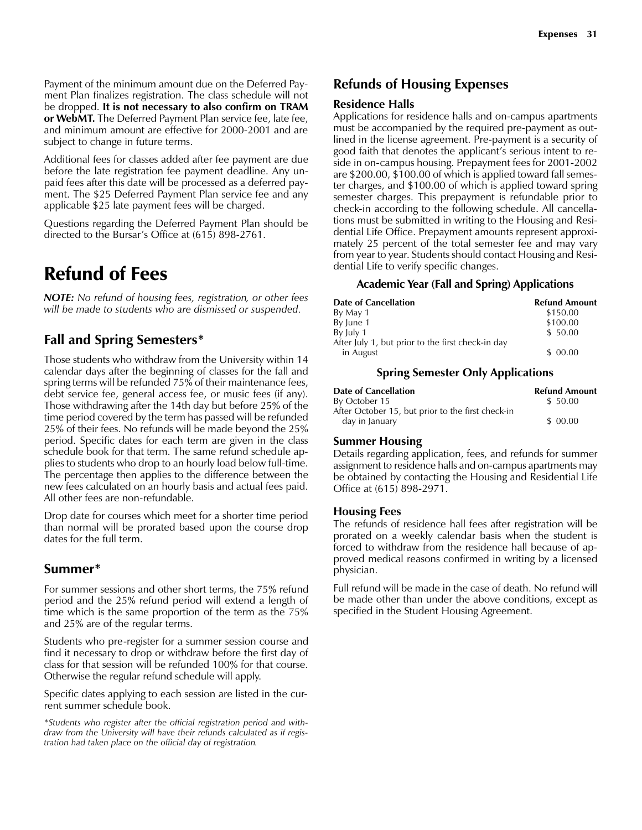Payment of the minimum amount due on the Deferred Payment Plan finalizes registration. The class schedule will not be dropped. It is not necessary to also confirm on TRAM or WebMT. The Deferred Payment Plan service fee, late fee, and minimum amount are effective for 2000-2001 and are subject to change in future terms.

Additional fees for classes added after fee payment are due before the late registration fee payment deadline. Any unpaid fees after this date will be processed as a deferred payment. The \$25 Deferred Payment Plan service fee and any applicable \$25 late payment fees will be charged.

Questions regarding the Deferred Payment Plan should be directed to the Bursar's Office at  $(615)$  898-2761.

# Refund of Fees

NOTE: No refund of housing fees, registration, or other fees will be made to students who are dismissed or suspended.

# Fall and Spring Semesters\*

Those students who withdraw from the University within 14 calendar days after the beginning of classes for the fall and spring terms will be refunded 75% of their maintenance fees, debt service fee, general access fee, or music fees (if any). Those withdrawing after the 14th day but before 25% of the time period covered by the term has passed will be refunded 25% of their fees. No refunds will be made beyond the 25% period. Specific dates for each term are given in the class schedule book for that term. The same refund schedule applies to students who drop to an hourly load below full-time. The percentage then applies to the difference between the new fees calculated on an hourly basis and actual fees paid. All other fees are non-refundable.

Drop date for courses which meet for a shorter time period than normal will be prorated based upon the course drop dates for the full term.

# Summer\*

For summer sessions and other short terms, the 75% refund period and the 25% refund period will extend a length of time which is the same proportion of the term as the 75% and 25% are of the regular terms.

Students who pre-register for a summer session course and find it necessary to drop or withdraw before the first day of class for that session will be refunded 100% for that course. Otherwise the regular refund schedule will apply.

Specific dates applying to each session are listed in the current summer schedule book.

\*Students who register after the official registration period and withdraw from the University will have their refunds calculated as if registration had taken place on the official day of registration.

## Refunds of Housing Expenses

## Residence Halls

Applications for residence halls and on-campus apartments must be accompanied by the required pre-payment as outlined in the license agreement. Pre-payment is a security of good faith that denotes the applicant's serious intent to reside in on-campus housing. Prepayment fees for 2001-2002 are \$200.00, \$100.00 of which is applied toward fall semester charges, and \$100.00 of which is applied toward spring semester charges. This prepayment is refundable prior to check-in according to the following schedule. All cancellations must be submitted in writing to the Housing and Residential Life Office. Prepayment amounts represent approximately 25 percent of the total semester fee and may vary from year to year. Students should contact Housing and Residential Life to verify specific changes.

## Academic Year (Fall and Spring) Applications

| Date of Cancellation                              | <b>Refund Amount</b> |
|---------------------------------------------------|----------------------|
| By May 1                                          | \$150.00             |
| By June 1                                         | \$100.00             |
| By July 1                                         | \$50.00              |
| After July 1, but prior to the first check-in day |                      |
| in August                                         | \$00.00              |

## Spring Semester Only Applications

| Date of Cancellation                              | <b>Refund Amount</b> |
|---------------------------------------------------|----------------------|
| By October 15                                     | \$ 50.00             |
| After October 15, but prior to the first check-in |                      |
| day in January                                    | \$ 00.00             |

## Summer Housing

Details regarding application, fees, and refunds for summer assignment to residence halls and on-campus apartments may be obtained by contacting the Housing and Residential Life Office at (615) 898-2971.

## Housing Fees

The refunds of residence hall fees after registration will be prorated on a weekly calendar basis when the student is forced to withdraw from the residence hall because of approved medical reasons confirmed in writing by a licensed physician.

Full refund will be made in the case of death. No refund will be made other than under the above conditions, except as specified in the Student Housing Agreement.